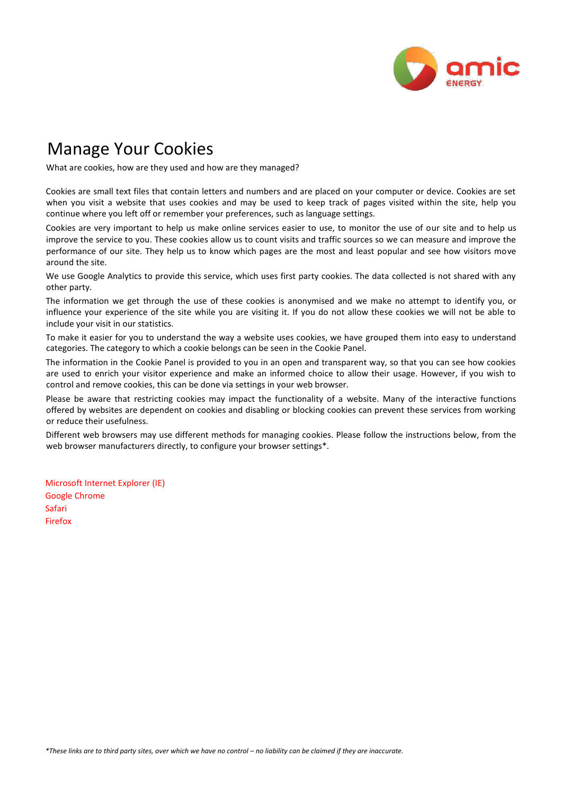

## Manage Your Cookies

What are cookies, how are they used and how are they managed?

Cookies are small text files that contain letters and numbers and are placed on your computer or device. Cookies are set when you visit a website that uses cookies and may be used to keep track of pages visited within the site, help you continue where you left off or remember your preferences, such as language settings.

Cookies are very important to help us make online services easier to use, to monitor the use of our site and to help us improve the service to you. These cookies allow us to count visits and traffic sources so we can measure and improve the performance of our site. They help us to know which pages are the most and least popular and see how visitors move around the site.

We use Google Analytics to provide this service, which uses first party cookies. The data collected is not shared with any other party.

The information we get through the use of these cookies is anonymised and we make no attempt to identify you, or influence your experience of the site while you are visiting it. If you do not allow these cookies we will not be able to include your visit in our statistics.

To make it easier for you to understand the way a website uses cookies, we have grouped them into easy to understand categories. The category to which a cookie belongs can be seen in the Cookie Panel.

The information in the Cookie Panel is provided to you in an open and transparent way, so that you can see how cookies are used to enrich your visitor experience and make an informed choice to allow their usage. However, if you wish to control and remove cookies, this can be done via settings in your web browser.

Please be aware that restricting cookies may impact the functionality of a website. Many of the interactive functions offered by websites are dependent on cookies and disabling or blocking cookies can prevent these services from working or reduce their usefulness.

Different web browsers may use different methods for managing cookies. Please follow the instructions below, from the web browser manufacturers directly, to configure your browser settings\*.

[Microsoft Internet Explorer \(IE\)](http://windows.microsoft.com/en-GB/windows7/How-to-manage-cookies-in-Internet-Explorer-9) [Google Chrome](http://support.google.com/chrome/bin/answer.py?hl=en&answer=95647) [Safari](http://support.apple.com/kb/PH5042) [Firefox](http://support.mozilla.org/en-US/kb/enable-and-disable-cookies-website-preferences)